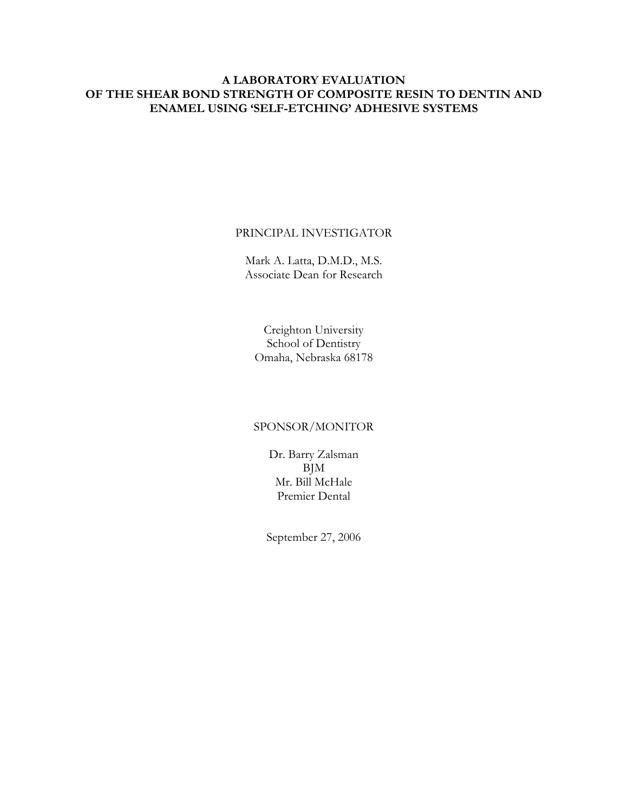# **A LABORATORY EVALUATION OF THE SHEAR BOND STRENGTH OF COMPOSITE RESIN TO DENTIN AND ENAMEL USING 'SELF-ETCHING' ADHESIVE SYSTEMS**

#### PRINCIPAL INVESTIGATOR

Mark A. Latta, D.M.D., M.S. Associate Dean for Research

Creighton University School of Dentistry Omaha, Nebraska 68178

## SPONSOR/MONITOR

Dr. Barry Zalsman BJM Mr. Bill McHale Premier Dental

September 27, 2006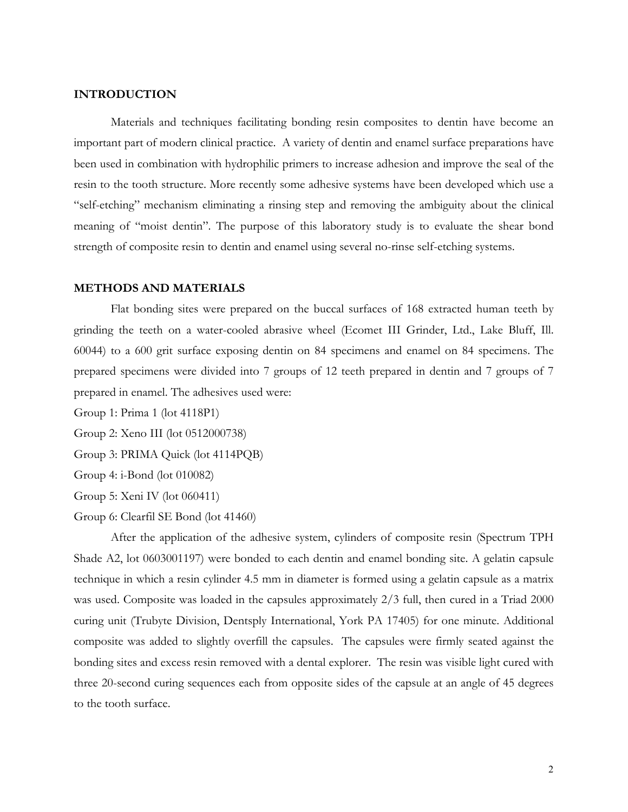#### **INTRODUCTION**

Materials and techniques facilitating bonding resin composites to dentin have become an important part of modern clinical practice. A variety of dentin and enamel surface preparations have been used in combination with hydrophilic primers to increase adhesion and improve the seal of the resin to the tooth structure. More recently some adhesive systems have been developed which use a "self-etching" mechanism eliminating a rinsing step and removing the ambiguity about the clinical meaning of "moist dentin". The purpose of this laboratory study is to evaluate the shear bond strength of composite resin to dentin and enamel using several no-rinse self-etching systems.

## **METHODS AND MATERIALS**

Flat bonding sites were prepared on the buccal surfaces of 168 extracted human teeth by grinding the teeth on a water-cooled abrasive wheel (Ecomet III Grinder, Ltd., Lake Bluff, Ill. 60044) to a 600 grit surface exposing dentin on 84 specimens and enamel on 84 specimens. The prepared specimens were divided into 7 groups of 12 teeth prepared in dentin and 7 groups of 7 prepared in enamel. The adhesives used were:

Group 1: Prima 1 (lot 4118P1)

Group 2: Xeno III (lot 0512000738)

Group 3: PRIMA Quick (lot 4114PQB)

Group 4: i-Bond (lot 010082)

Group 5: Xeni IV (lot 060411)

Group 6: Clearfil SE Bond (lot 41460)

After the application of the adhesive system, cylinders of composite resin (Spectrum TPH Shade A2, lot 0603001197) were bonded to each dentin and enamel bonding site. A gelatin capsule technique in which a resin cylinder 4.5 mm in diameter is formed using a gelatin capsule as a matrix was used. Composite was loaded in the capsules approximately 2/3 full, then cured in a Triad 2000 curing unit (Trubyte Division, Dentsply International, York PA 17405) for one minute. Additional composite was added to slightly overfill the capsules. The capsules were firmly seated against the bonding sites and excess resin removed with a dental explorer. The resin was visible light cured with three 20-second curing sequences each from opposite sides of the capsule at an angle of 45 degrees to the tooth surface.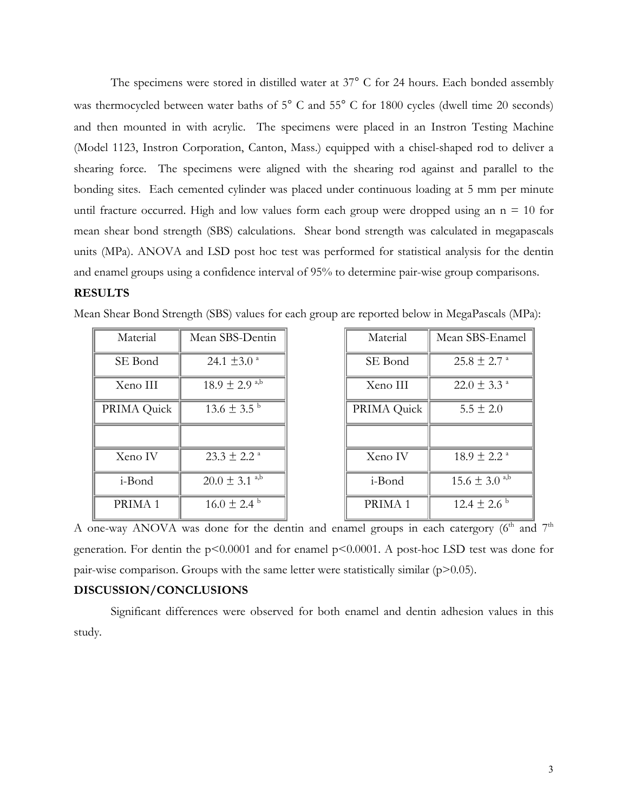The specimens were stored in distilled water at 37° C for 24 hours. Each bonded assembly was thermocycled between water baths of 5° C and 55° C for 1800 cycles (dwell time 20 seconds) and then mounted in with acrylic. The specimens were placed in an Instron Testing Machine (Model 1123, Instron Corporation, Canton, Mass.) equipped with a chisel-shaped rod to deliver a shearing force. The specimens were aligned with the shearing rod against and parallel to the bonding sites. Each cemented cylinder was placed under continuous loading at 5 mm per minute until fracture occurred. High and low values form each group were dropped using an  $n = 10$  for mean shear bond strength (SBS) calculations. Shear bond strength was calculated in megapascals units (MPa). ANOVA and LSD post hoc test was performed for statistical analysis for the dentin and enamel groups using a confidence interval of 95% to determine pair-wise group comparisons.

## **RESULTS**

| Material           | Mean SBS-Dentin               | Material           | Mean SBS-Enamel             |
|--------------------|-------------------------------|--------------------|-----------------------------|
| SE Bond            | 24.1 $\pm$ 3.0 <sup>a</sup>   | SE Bond            | $25.8 \pm 2.7$ <sup>a</sup> |
| Xeno III           | $18.9 \pm 2.9$ <sup>a,b</sup> | Xeno III           | $22.0 \pm 3.3$ <sup>a</sup> |
| PRIMA Quick        | $13.6 \pm 3.5^{\circ}$        | PRIMA Quick        | $5.5 \pm 2.0$               |
|                    |                               |                    |                             |
| Xeno IV            | $23.3 \pm 2.2$ <sup>a</sup>   | Xeno IV            | $18.9 \pm 2.2$ <sup>a</sup> |
| i-Bond             | $20.0 \pm 3.1$ <sup>a,b</sup> | i-Bond             | $15.6 \pm 3.0^{a,b}$        |
| PRIMA <sub>1</sub> | $16.0 \pm 2.4^{\circ}$        | PRIMA <sub>1</sub> | $12.4 \pm 2.6^{\circ}$      |

Mean Shear Bond Strength (SBS) values for each group are reported below in MegaPascals (MPa):

A one-way ANOVA was done for the dentin and enamel groups in each catergory  $(6<sup>th</sup>$  and  $7<sup>th</sup>$ generation. For dentin the p<0.0001 and for enamel p<0.0001. A post-hoc LSD test was done for pair-wise comparison. Groups with the same letter were statistically similar  $(p>0.05)$ .

#### **DISCUSSION/CONCLUSIONS**

Significant differences were observed for both enamel and dentin adhesion values in this study.